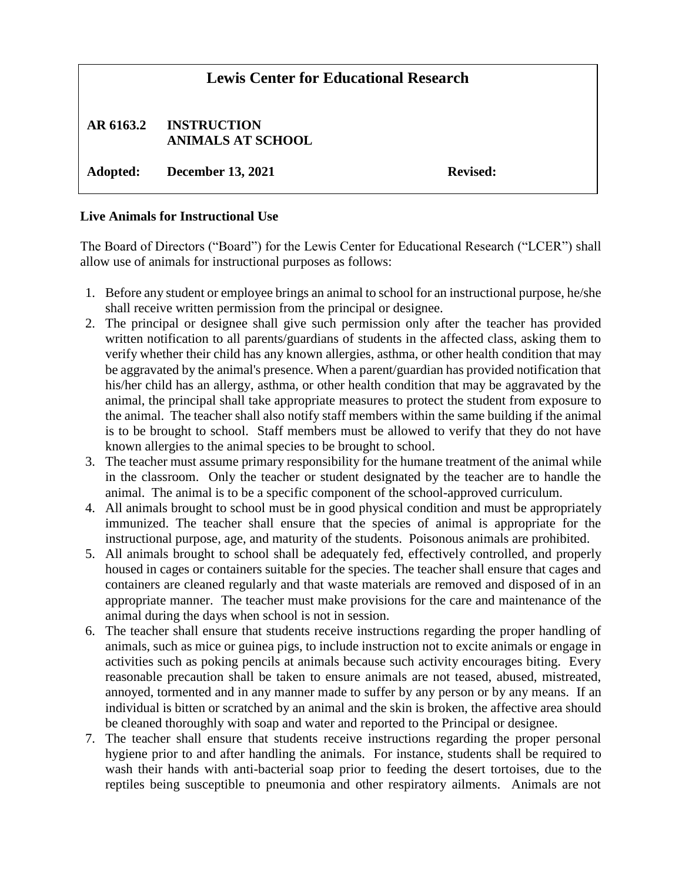## **Lewis Center for Educational Research**

## **AR 6163.2 INSTRUCTION ANIMALS AT SCHOOL**

**Adopted: December 13, 2021 Revised:**

## **Live Animals for Instructional Use**

The Board of Directors ("Board") for the Lewis Center for Educational Research ("LCER") shall allow use of animals for instructional purposes as follows:

- 1. Before any student or employee brings an animal to school for an instructional purpose, he/she shall receive written permission from the principal or designee.
- 2. The principal or designee shall give such permission only after the teacher has provided written notification to all parents/guardians of students in the affected class, asking them to verify whether their child has any known allergies, asthma, or other health condition that may be aggravated by the animal's presence. When a parent/guardian has provided notification that his/her child has an allergy, asthma, or other health condition that may be aggravated by the animal, the principal shall take appropriate measures to protect the student from exposure to the animal. The teacher shall also notify staff members within the same building if the animal is to be brought to school. Staff members must be allowed to verify that they do not have known allergies to the animal species to be brought to school.
- 3. The teacher must assume primary responsibility for the humane treatment of the animal while in the classroom. Only the teacher or student designated by the teacher are to handle the animal. The animal is to be a specific component of the school-approved curriculum.
- 4. All animals brought to school must be in good physical condition and must be appropriately immunized. The teacher shall ensure that the species of animal is appropriate for the instructional purpose, age, and maturity of the students. Poisonous animals are prohibited.
- 5. All animals brought to school shall be adequately fed, effectively controlled, and properly housed in cages or containers suitable for the species. The teacher shall ensure that cages and containers are cleaned regularly and that waste materials are removed and disposed of in an appropriate manner. The teacher must make provisions for the care and maintenance of the animal during the days when school is not in session.
- 6. The teacher shall ensure that students receive instructions regarding the proper handling of animals, such as mice or guinea pigs, to include instruction not to excite animals or engage in activities such as poking pencils at animals because such activity encourages biting. Every reasonable precaution shall be taken to ensure animals are not teased, abused, mistreated, annoyed, tormented and in any manner made to suffer by any person or by any means. If an individual is bitten or scratched by an animal and the skin is broken, the affective area should be cleaned thoroughly with soap and water and reported to the Principal or designee.
- 7. The teacher shall ensure that students receive instructions regarding the proper personal hygiene prior to and after handling the animals. For instance, students shall be required to wash their hands with anti-bacterial soap prior to feeding the desert tortoises, due to the reptiles being susceptible to pneumonia and other respiratory ailments. Animals are not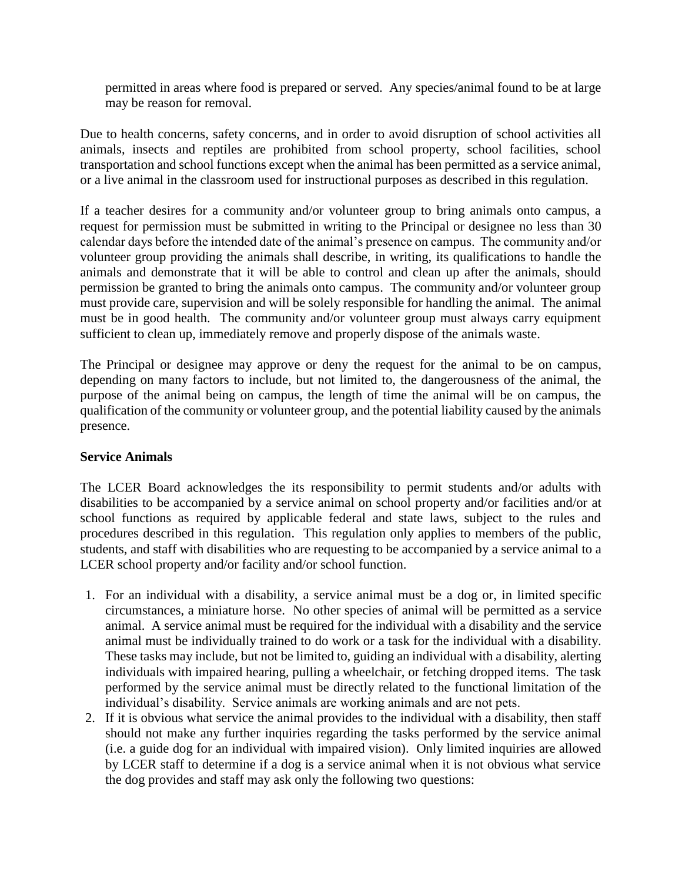permitted in areas where food is prepared or served. Any species/animal found to be at large may be reason for removal.

Due to health concerns, safety concerns, and in order to avoid disruption of school activities all animals, insects and reptiles are prohibited from school property, school facilities, school transportation and school functions except when the animal has been permitted as a service animal, or a live animal in the classroom used for instructional purposes as described in this regulation.

If a teacher desires for a community and/or volunteer group to bring animals onto campus, a request for permission must be submitted in writing to the Principal or designee no less than 30 calendar days before the intended date of the animal's presence on campus. The community and/or volunteer group providing the animals shall describe, in writing, its qualifications to handle the animals and demonstrate that it will be able to control and clean up after the animals, should permission be granted to bring the animals onto campus. The community and/or volunteer group must provide care, supervision and will be solely responsible for handling the animal. The animal must be in good health. The community and/or volunteer group must always carry equipment sufficient to clean up, immediately remove and properly dispose of the animals waste.

The Principal or designee may approve or deny the request for the animal to be on campus, depending on many factors to include, but not limited to, the dangerousness of the animal, the purpose of the animal being on campus, the length of time the animal will be on campus, the qualification of the community or volunteer group, and the potential liability caused by the animals presence.

## **Service Animals**

The LCER Board acknowledges the its responsibility to permit students and/or adults with disabilities to be accompanied by a service animal on school property and/or facilities and/or at school functions as required by applicable federal and state laws, subject to the rules and procedures described in this regulation. This regulation only applies to members of the public, students, and staff with disabilities who are requesting to be accompanied by a service animal to a LCER school property and/or facility and/or school function.

- 1. For an individual with a disability, a service animal must be a dog or, in limited specific circumstances, a miniature horse. No other species of animal will be permitted as a service animal. A service animal must be required for the individual with a disability and the service animal must be individually trained to do work or a task for the individual with a disability. These tasks may include, but not be limited to, guiding an individual with a disability, alerting individuals with impaired hearing, pulling a wheelchair, or fetching dropped items. The task performed by the service animal must be directly related to the functional limitation of the individual's disability. Service animals are working animals and are not pets.
- 2. If it is obvious what service the animal provides to the individual with a disability, then staff should not make any further inquiries regarding the tasks performed by the service animal (i.e. a guide dog for an individual with impaired vision). Only limited inquiries are allowed by LCER staff to determine if a dog is a service animal when it is not obvious what service the dog provides and staff may ask only the following two questions: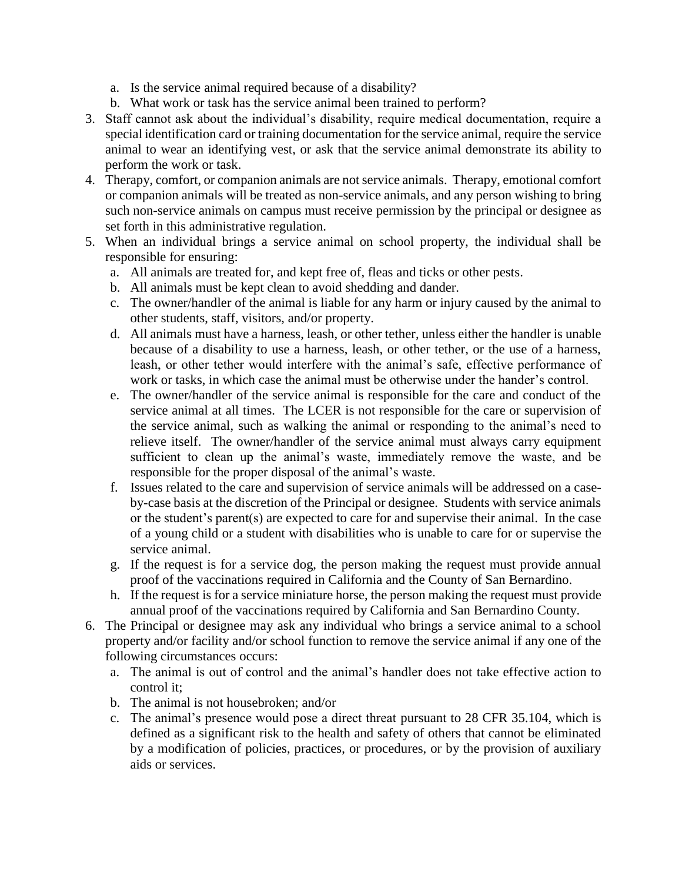- a. Is the service animal required because of a disability?
- b. What work or task has the service animal been trained to perform?
- 3. Staff cannot ask about the individual's disability, require medical documentation, require a special identification card or training documentation for the service animal, require the service animal to wear an identifying vest, or ask that the service animal demonstrate its ability to perform the work or task.
- 4. Therapy, comfort, or companion animals are not service animals. Therapy, emotional comfort or companion animals will be treated as non-service animals, and any person wishing to bring such non-service animals on campus must receive permission by the principal or designee as set forth in this administrative regulation.
- 5. When an individual brings a service animal on school property, the individual shall be responsible for ensuring:
	- a. All animals are treated for, and kept free of, fleas and ticks or other pests.
	- b. All animals must be kept clean to avoid shedding and dander.
	- c. The owner/handler of the animal is liable for any harm or injury caused by the animal to other students, staff, visitors, and/or property.
	- d. All animals must have a harness, leash, or other tether, unless either the handler is unable because of a disability to use a harness, leash, or other tether, or the use of a harness, leash, or other tether would interfere with the animal's safe, effective performance of work or tasks, in which case the animal must be otherwise under the hander's control.
	- e. The owner/handler of the service animal is responsible for the care and conduct of the service animal at all times. The LCER is not responsible for the care or supervision of the service animal, such as walking the animal or responding to the animal's need to relieve itself. The owner/handler of the service animal must always carry equipment sufficient to clean up the animal's waste, immediately remove the waste, and be responsible for the proper disposal of the animal's waste.
	- f. Issues related to the care and supervision of service animals will be addressed on a caseby-case basis at the discretion of the Principal or designee. Students with service animals or the student's parent(s) are expected to care for and supervise their animal. In the case of a young child or a student with disabilities who is unable to care for or supervise the service animal.
	- g. If the request is for a service dog, the person making the request must provide annual proof of the vaccinations required in California and the County of San Bernardino.
	- h. If the request is for a service miniature horse, the person making the request must provide annual proof of the vaccinations required by California and San Bernardino County.
- 6. The Principal or designee may ask any individual who brings a service animal to a school property and/or facility and/or school function to remove the service animal if any one of the following circumstances occurs:
	- a. The animal is out of control and the animal's handler does not take effective action to control it;
	- b. The animal is not housebroken; and/or
	- c. The animal's presence would pose a direct threat pursuant to 28 CFR 35.104, which is defined as a significant risk to the health and safety of others that cannot be eliminated by a modification of policies, practices, or procedures, or by the provision of auxiliary aids or services.